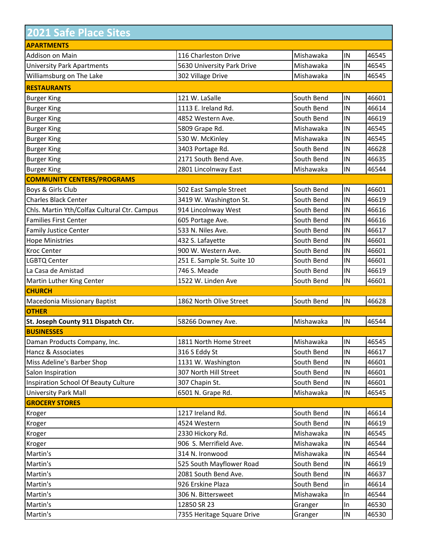| <b>2021 Safe Place Sites</b>                 |                            |            |            |       |
|----------------------------------------------|----------------------------|------------|------------|-------|
| <b>APARTMENTS</b>                            |                            |            |            |       |
| Addison on Main                              | 116 Charleston Drive       | Mishawaka  | IN         | 46545 |
| <b>University Park Apartments</b>            | 5630 University Park Drive | Mishawaka  | IN         | 46545 |
| Williamsburg on The Lake                     | 302 Village Drive          | Mishawaka  | IN         | 46545 |
| <b>RESTAURANTS</b>                           |                            |            |            |       |
| <b>Burger King</b>                           | 121 W. LaSalle             | South Bend | IN         | 46601 |
| <b>Burger King</b>                           | 1113 E. Ireland Rd.        | South Bend | IN         | 46614 |
| <b>Burger King</b>                           | 4852 Western Ave.          | South Bend | IN         | 46619 |
| <b>Burger King</b>                           | 5809 Grape Rd.             | Mishawaka  | IN         | 46545 |
| <b>Burger King</b>                           | 530 W. McKinley            | Mishawaka  | IN         | 46545 |
| <b>Burger King</b>                           | 3403 Portage Rd.           | South Bend | IN         | 46628 |
| <b>Burger King</b>                           | 2171 South Bend Ave.       | South Bend | IN         | 46635 |
| <b>Burger King</b>                           | 2801 Lincolnway East       | Mishawaka  | IN         | 46544 |
| <b>COMMUNITY CENTERS/PROGRAMS</b>            |                            |            |            |       |
| Boys & Girls Club                            | 502 East Sample Street     | South Bend | IN         | 46601 |
| <b>Charles Black Center</b>                  | 3419 W. Washington St.     | South Bend | IN         | 46619 |
| Chls. Martin Yth/Colfax Cultural Ctr. Campus | 914 Lincolnway West        | South Bend | IN         | 46616 |
| <b>Families First Center</b>                 | 605 Portage Ave.           | South Bend | IN         | 46616 |
| <b>Family Justice Center</b>                 | 533 N. Niles Ave.          | South Bend | IN         | 46617 |
| <b>Hope Ministries</b>                       | 432 S. Lafayette           | South Bend | IN         | 46601 |
| <b>Kroc Center</b>                           | 900 W. Western Ave.        | South Bend | IN         | 46601 |
| <b>LGBTQ Center</b>                          | 251 E. Sample St. Suite 10 | South Bend | IN         | 46601 |
| La Casa de Amistad                           | 746 S. Meade               | South Bend | IN         | 46619 |
| Martin Luther King Center                    | 1522 W. Linden Ave         | South Bend | IN         | 46601 |
| <b>CHURCH</b>                                |                            |            |            |       |
| Macedonia Missionary Baptist                 | 1862 North Olive Street    | South Bend | IN         | 46628 |
| <b>OTHER</b>                                 |                            |            |            |       |
| St. Joseph County 911 Dispatch Ctr.          | 58266 Downey Ave.          | Mishawaka  | IN         | 46544 |
| <b>BUSINESSES</b>                            |                            |            |            |       |
| Daman Products Company, Inc.                 | 1811 North Home Street     | Mishawaka  | IN         | 46545 |
| Hancz & Associates                           | 316 S Eddy St              | South Bend | IN         | 46617 |
| Miss Adeline's Barber Shop                   | 1131 W. Washington         | South Bend | IN         | 46601 |
| Salon Inspiration                            | 307 North Hill Street      | South Bend | IN         | 46601 |
| <b>Inspiration School Of Beauty Culture</b>  | 307 Chapin St.             | South Bend | $\sf IN$   | 46601 |
| <b>University Park Mall</b>                  | 6501 N. Grape Rd.          | Mishawaka  | ${\sf IN}$ | 46545 |
| <b>GROCERY STORES</b>                        |                            |            |            |       |
| Kroger                                       | 1217 Ireland Rd.           | South Bend | IN         | 46614 |
| Kroger                                       | 4524 Western               | South Bend | IN         | 46619 |
| Kroger                                       | 2330 Hickory Rd.           | Mishawaka  | IN         | 46545 |
| Kroger                                       | 906 S. Merrifield Ave.     | Mishawaka  | ${\sf IN}$ | 46544 |
| Martin's                                     | 314 N. Ironwood            | Mishawaka  | IN         | 46544 |
| Martin's                                     | 525 South Mayflower Road   | South Bend | IN         | 46619 |
| Martin's                                     | 2081 South Bend Ave.       | South Bend | IN         | 46637 |
| Martin's                                     | 926 Erskine Plaza          | South Bend | in         | 46614 |
| Martin's                                     | 306 N. Bittersweet         | Mishawaka  | In         | 46544 |
| Martin's                                     | 12850 SR 23                | Granger    | In         | 46530 |
| Martin's                                     | 7355 Heritage Square Drive | Granger    | $\sf IN$   | 46530 |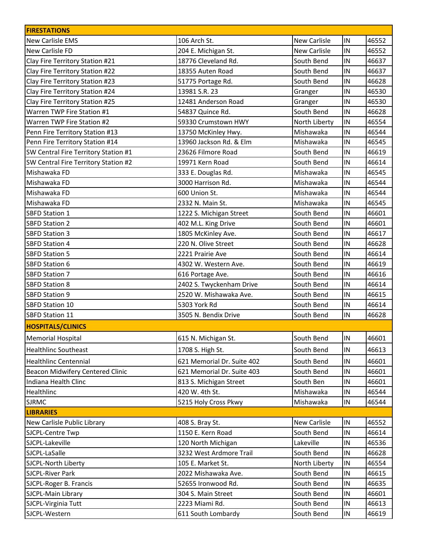| <b>FIRESTATIONS</b>                  |                            |                     |            |       |
|--------------------------------------|----------------------------|---------------------|------------|-------|
| New Carlisle EMS                     | 106 Arch St.               | <b>New Carlisle</b> | $\sf IN$   | 46552 |
| <b>New Carlisle FD</b>               | 204 E. Michigan St.        | <b>New Carlisle</b> | $\sf IN$   | 46552 |
| Clay Fire Territory Station #21      | 18776 Cleveland Rd.        | South Bend          | IN         | 46637 |
| Clay Fire Territory Station #22      | 18355 Auten Road           | South Bend          | IN         | 46637 |
| Clay Fire Territory Station #23      | 51775 Portage Rd.          | South Bend          | $\sf IN$   | 46628 |
| Clay Fire Territory Station #24      | 13981 S.R. 23              | Granger             | ${\sf IN}$ | 46530 |
| Clay Fire Territory Station #25      | 12481 Anderson Road        | Granger             | $\sf IN$   | 46530 |
| Warren TWP Fire Station #1           | 54837 Quince Rd.           | South Bend          | ${\sf IN}$ | 46628 |
| Warren TWP Fire Station #2           | 59330 Crumstown HWY        | North Liberty       | $\sf IN$   | 46554 |
| Penn Fire Territory Station #13      | 13750 McKinley Hwy.        | Mishawaka           | IN         | 46544 |
| Penn Fire Territory Station #14      | 13960 Jackson Rd. & Elm    | Mishawaka           | $\sf IN$   | 46545 |
| SW Central Fire Territory Station #1 | 23626 Filmore Road         | South Bend          | $\sf IN$   | 46619 |
| SW Central Fire Territory Station #2 | 19971 Kern Road            | South Bend          | $\sf IN$   | 46614 |
| Mishawaka FD                         | 333 E. Douglas Rd.         | Mishawaka           | IN         | 46545 |
| Mishawaka FD                         | 3000 Harrison Rd.          | Mishawaka           | $\sf IN$   | 46544 |
| Mishawaka FD                         | 600 Union St.              | Mishawaka           | IN         | 46544 |
| Mishawaka FD                         | 2332 N. Main St.           | Mishawaka           | $\sf IN$   | 46545 |
| <b>SBFD Station 1</b>                | 1222 S. Michigan Street    | South Bend          | $\sf IN$   | 46601 |
| <b>SBFD Station 2</b>                | 402 M.L. King Drive        | South Bend          | ${\sf IN}$ | 46601 |
| <b>SBFD Station 3</b>                | 1805 McKinley Ave.         | South Bend          | $\sf IN$   | 46617 |
| <b>SBFD Station 4</b>                | 220 N. Olive Street        | South Bend          | IN         | 46628 |
| <b>SBFD Station 5</b>                | 2221 Prairie Ave           | South Bend          | $\sf IN$   | 46614 |
| <b>SBFD Station 6</b>                | 4302 W. Western Ave.       | South Bend          | IN         | 46619 |
| <b>SBFD Station 7</b>                | 616 Portage Ave.           | South Bend          | $\sf IN$   | 46616 |
| <b>SBFD Station 8</b>                | 2402 S. Twyckenham Drive   | South Bend          | ${\sf IN}$ | 46614 |
| <b>SBFD Station 9</b>                | 2520 W. Mishawaka Ave.     | South Bend          | $\sf IN$   | 46615 |
| <b>SBFD Station 10</b>               | 5303 York Rd               | South Bend          | $\sf IN$   | 46614 |
| <b>SBFD Station 11</b>               | 3505 N. Bendix Drive       | South Bend          | $\sf IN$   | 46628 |
| <b>HOSPITALS/CLINICS</b>             |                            |                     |            |       |
| <b>Memorial Hospital</b>             | 615 N. Michigan St.        | South Bend          | ${\sf IN}$ | 46601 |
| <b>Healthlinc Southeast</b>          | 1708 S. High St.           | South Bend          | ${\sf IN}$ | 46613 |
|                                      |                            |                     |            |       |
| <b>Healthlinc Centennial</b>         | 621 Memorial Dr. Suite 402 | South Bend          | ${\sf IN}$ | 46601 |
| Beacon Midwifery Centered Clinic     | 621 Memorial Dr. Suite 403 | South Bend          | IN         | 46601 |
| Indiana Health Clinc                 | 813 S. Michigan Street     | South Ben           | ${\sf IN}$ | 46601 |
| Healthlinc                           | 420 W. 4th St.             | Mishawaka           | IN         | 46544 |
| <b>SJRMC</b>                         | 5215 Holy Cross Pkwy       | Mishawaka           | ${\sf IN}$ | 46544 |
| <b>LIBRARIES</b>                     |                            |                     |            |       |
| New Carlisle Public Library          | 408 S. Bray St.            | New Carlisle        | ${\sf IN}$ | 46552 |
| SJCPL-Centre Twp                     | 1150 E. Kern Road          | South Bend          | ${\sf IN}$ | 46614 |
| SJCPL-Lakeville                      | 120 North Michigan         | Lakeville           | ${\sf IN}$ | 46536 |
| SJCPL-LaSalle                        | 3232 West Ardmore Trail    | South Bend          | ${\sf IN}$ | 46628 |
| SJCPL-North Liberty                  | 105 E. Market St.          | North Liberty       | IN         | 46554 |
| <b>SJCPL-River Park</b>              | 2022 Mishawaka Ave.        | South Bend          | ${\sf IN}$ | 46615 |
| SJCPL-Roger B. Francis               | 52655 Ironwood Rd.         | South Bend          | IN         | 46635 |
| SJCPL-Main Library                   | 304 S. Main Street         | South Bend          | ${\sf IN}$ | 46601 |
| SJCPL-Virginia Tutt                  | 2223 Miami Rd.             | South Bend          | IN         | 46613 |
| SJCPL-Western                        | 611 South Lombardy         | South Bend          | ${\sf IN}$ | 46619 |